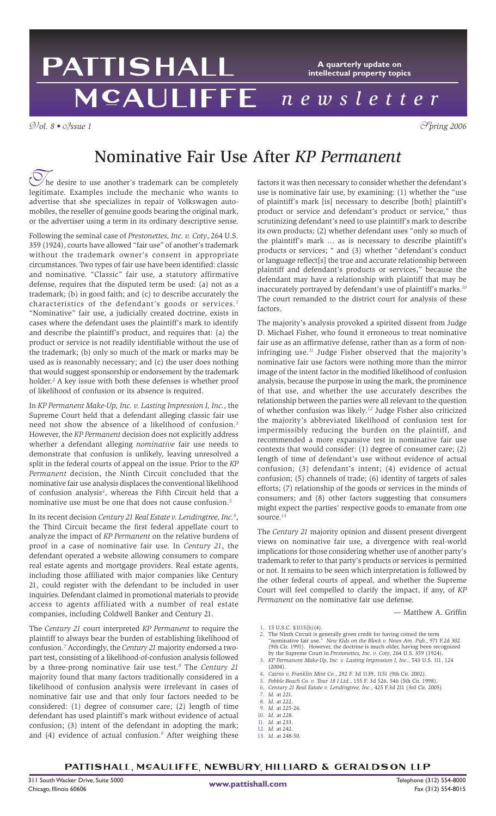### PATTISHALL **A quarterly update on intellectual property topics** MCAULIFFE *newsletter*

V*ol. 8 •* I*ssue 1* S*pring 2006*

# Nominative Fair Use After *KP Permanent*

The desire to use another's trademark can be completely legitimate. Examples include the mechanic who wants to he desire to use another's trademark can be completely advertise that she specializes in repair of Volkswagen automobiles, the reseller of genuine goods bearing the original mark, or the advertiser using a term in its ordinary descriptive sense.

Following the seminal case of *Prestonettes, Inc. v. Coty*, 264 U.S. 359 (1924), courts have allowed "fair use" of another's trademark without the trademark owner's consent in appropriate circumstances. Two types of fair use have been identified: classic and nominative. "Classic" fair use, a statutory affirmative defense, requires that the disputed term be used: (a) not as a trademark; (b) in good faith; and (c) to describe accurately the characteristics of the defendant's goods or services.*<sup>1</sup>* "Nominative" fair use, a judicially created doctrine, exists in cases where the defendant uses the plaintiff's mark to identify and describe the plaintiff's product, and requires that: (a) the product or service is not readily identifiable without the use of the trademark; (b) only so much of the mark or marks may be used as is reasonably necessary; and (c) the user does nothing that would suggest sponsorship or endorsement by the trademark holder.*<sup>2</sup>* A key issue with both these defenses is whether proof of likelihood of confusion or its absence is required.

In *KP Permanent Make-Up, Inc. v. Lasting Impression I, Inc.*, the Supreme Court held that a defendant alleging classic fair use need not show the absence of a likelihood of confusion.*<sup>3</sup>* However, the *KP Permanent* decision does not explicitly address whether a defendant alleging *nominative* fair use needs to demonstrate that confusion is unlikely, leaving unresolved a split in the federal courts of appeal on the issue. Prior to the *KP Permanent* decision, the Ninth Circuit concluded that the nominative fair use analysis displaces the conventional likelihood of confusion analysis*<sup>4</sup>*, whereas the Fifth Circuit held that a nominative use must be one that does not cause confusion.*<sup>5</sup>*

In its recent decision *Century 21 Real Estate v. Lendingtree, Inc.*<sup>6</sup>, the Third Circuit became the first federal appellate court to analyze the impact of *KP Permanent* on the relative burdens of proof in a case of nominative fair use. In *Century 21*, the defendant operated a website allowing consumers to compare real estate agents and mortgage providers. Real estate agents, including those affiliated with major companies like Century 21, could register with the defendant to be included in user inquiries. Defendant claimed in promotional materials to provide access to agents affiliated with a number of real estate companies, including Coldwell Banker and Century 21.

The *Century 21* court interpreted *KP Permanent* to require the plaintiff to always bear the burden of establishing likelihood of confusion.*<sup>7</sup>* Accordingly, the *Century 21* majority endorsed a twopart test, consisting of a likelihood-of-confusion analysis followed by a three-prong nominative fair use test.*<sup>8</sup>* The *Century 21* majority found that many factors traditionally considered in a likelihood of confusion analysis were irrelevant in cases of nominative fair use and that only four factors needed to be considered: (1) degree of consumer care; (2) length of time defendant has used plaintiff's mark without evidence of actual confusion; (3) intent of the defendant in adopting the mark; and (4) evidence of actual confusion.*<sup>9</sup>* After weighing these

factors it was then necessary to consider whether the defendant's use is nominative fair use, by examining: (1) whether the "use of plaintiff's mark [is] necessary to describe [both] plaintiff's product or service and defendant's product or service," thus scrutinizing defendant's need to use plaintiff's mark to describe its own products; (2) whether defendant uses "only so much of the plaintiff's mark ... as is necessary to describe plaintiff's products or services; " and (3) whether "defendant's conduct or language reflect[s] the true and accurate relationship between plaintiff and defendant's products or services," because the defendant may have a relationship with plaintiff that may be inaccurately portrayed by defendant's use of plaintiff's marks.*<sup>10</sup>* The court remanded to the district court for analysis of these factors.

The majority's analysis provoked a spirited dissent from Judge D. Michael Fisher, who found it erroneous to treat nominative fair use as an affirmative defense, rather than as a form of noninfringing use.*<sup>11</sup>* Judge Fisher observed that the majority's nominative fair use factors were nothing more than the mirror image of the intent factor in the modified likelihood of confusion analysis, because the purpose in using the mark, the prominence of that use, and whether the use accurately describes the relationship between the parties were all relevant to the question of whether confusion was likely.*<sup>12</sup>* Judge Fisher also criticized the majority's abbreviated likelihood of confusion test for impermissibly reducing the burden on the plaintiff, and recommended a more expansive test in nominative fair use contexts that would consider: (1) degree of consumer care; (2) length of time of defendant's use without evidence of actual confusion; (3) defendant's intent; (4) evidence of actual confusion; (5) channels of trade; (6) identity of targets of sales efforts; (7) relationship of the goods or services in the minds of consumers; and (8) other factors suggesting that consumers might expect the parties' respective goods to emanate from one source.*<sup>13</sup>*

The *Century 21* majority opinion and dissent present divergent views on nominative fair use, a divergence with real-world implications for those considering whether use of another party's trademark to refer to that party's products or services is permitted or not. It remains to be seen which interpretation is followed by the other federal courts of appeal, and whether the Supreme Court will feel compelled to clarify the impact, if any, of *KP Permanent* on the nominative fair use defense.

— Matthew A. Griffin

1. 15 U.S.C. §1115(b)(4).

- 2. The Ninth Circuit is generally given credit for having coined the term<br>"nominative fair use." *New Kids on the Block v. News Am. Pub.*, 971 F.2d 302<br>(9th Cir. 1991). However, the doctrine is much older, having been reco by the Supreme Court in *Prestonettes, Inc. v. Coty*, 264 U.S. 359 (1924).
- 3. *KP Permanent Make-Up, Inc. v. Lasting Impression I, Inc.*, 543 U.S. 111, 124 (2004).
- 4. *Cairns v. Franklin Mint Co.*, 292 F. 3d 1139, 1151 (9th Cir. 2002).
- 5. *Pebble Beach Co. v. Tour 18 I Ltd.*, 155 F. 3d 526, 546 (5th Cir. 1998).
- 6. *Century 21 Real Estate v. Lendingtree, Inc.*, 425 F.3d 211 (3rd Cir. 2005)
- 7. *Id.* at 221. 8. *Id.* at 222.
- 
- 9. *Id.* at 225-26. *Id.* at 228.
- 11. *Id.* at 233.
- 12. *Id.* at 242.
- 13. *Id.* at 248-50.

PATTISHALL, MCAULIFFE, NEWBURY, HILLIARD & GERALDSON LLP